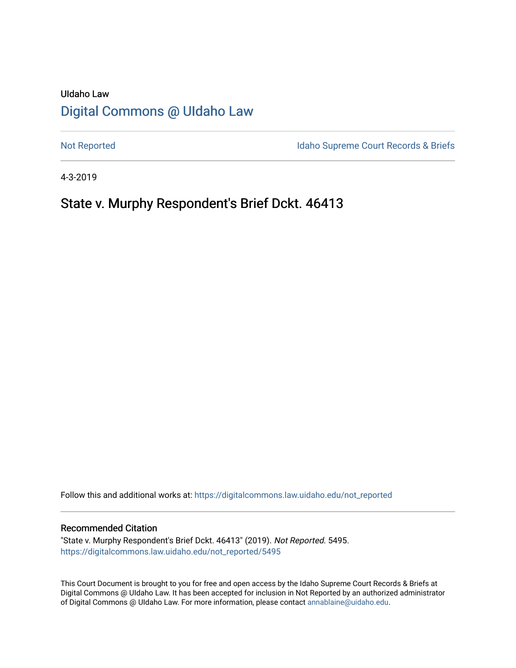# UIdaho Law [Digital Commons @ UIdaho Law](https://digitalcommons.law.uidaho.edu/)

[Not Reported](https://digitalcommons.law.uidaho.edu/not_reported) **Idaho Supreme Court Records & Briefs** 

4-3-2019

## State v. Murphy Respondent's Brief Dckt. 46413

Follow this and additional works at: [https://digitalcommons.law.uidaho.edu/not\\_reported](https://digitalcommons.law.uidaho.edu/not_reported?utm_source=digitalcommons.law.uidaho.edu%2Fnot_reported%2F5495&utm_medium=PDF&utm_campaign=PDFCoverPages) 

#### Recommended Citation

"State v. Murphy Respondent's Brief Dckt. 46413" (2019). Not Reported. 5495. [https://digitalcommons.law.uidaho.edu/not\\_reported/5495](https://digitalcommons.law.uidaho.edu/not_reported/5495?utm_source=digitalcommons.law.uidaho.edu%2Fnot_reported%2F5495&utm_medium=PDF&utm_campaign=PDFCoverPages)

This Court Document is brought to you for free and open access by the Idaho Supreme Court Records & Briefs at Digital Commons @ UIdaho Law. It has been accepted for inclusion in Not Reported by an authorized administrator of Digital Commons @ UIdaho Law. For more information, please contact [annablaine@uidaho.edu](mailto:annablaine@uidaho.edu).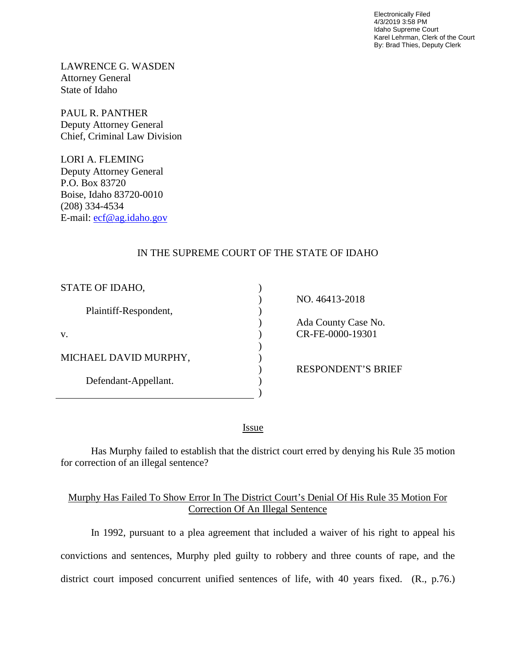Electronically Filed 4/3/2019 3:58 PM Idaho Supreme Court Karel Lehrman, Clerk of the Court By: Brad Thies, Deputy Clerk

LAWRENCE G. WASDEN Attorney General State of Idaho

PAUL R. PANTHER Deputy Attorney General Chief, Criminal Law Division

LORI A. FLEMING Deputy Attorney General P.O. Box 83720 Boise, Idaho 83720-0010 (208) 334-4534 E-mail: [ecf@ag.idaho.gov](mailto:ecf@ag.idaho.gov) 

### IN THE SUPREME COURT OF THE STATE OF IDAHO

| STATE OF IDAHO,       |                           |
|-----------------------|---------------------------|
|                       | NO. 46413-2018            |
| Plaintiff-Respondent, |                           |
|                       | Ada County Case No.       |
| V.                    | CR-FE-0000-19301          |
|                       |                           |
| MICHAEL DAVID MURPHY, |                           |
|                       | <b>RESPONDENT'S BRIEF</b> |
| Defendant-Appellant.  |                           |
|                       |                           |

<u>Issue</u>

Has Murphy failed to establish that the district court erred by denying his Rule 35 motion for correction of an illegal sentence?

### Murphy Has Failed To Show Error In The District Court's Denial Of His Rule 35 Motion For Correction Of An Illegal Sentence

In 1992, pursuant to a plea agreement that included a waiver of his right to appeal his convictions and sentences, Murphy pled guilty to robbery and three counts of rape, and the district court imposed concurrent unified sentences of life, with 40 years fixed. (R., p.76.)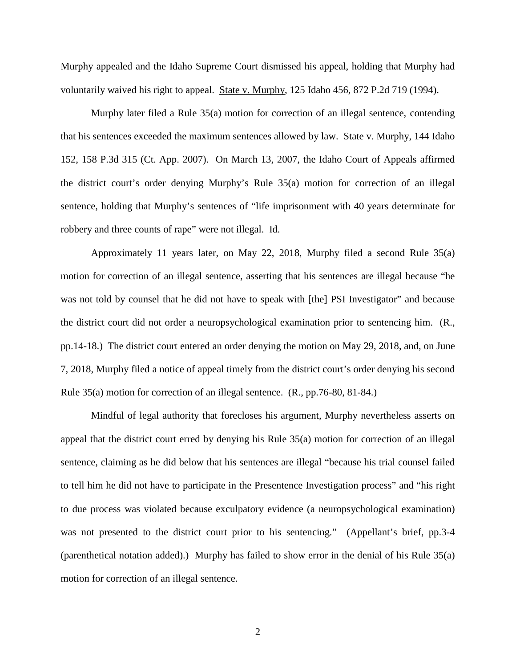Murphy appealed and the Idaho Supreme Court dismissed his appeal, holding that Murphy had voluntarily waived his right to appeal. State v. Murphy, 125 Idaho 456, 872 P.2d 719 (1994).

Murphy later filed a Rule 35(a) motion for correction of an illegal sentence, contending that his sentences exceeded the maximum sentences allowed by law. State v. Murphy, 144 Idaho 152, 158 P.3d 315 (Ct. App. 2007). On March 13, 2007, the Idaho Court of Appeals affirmed the district court's order denying Murphy's Rule 35(a) motion for correction of an illegal sentence, holding that Murphy's sentences of "life imprisonment with 40 years determinate for robbery and three counts of rape" were not illegal. Id.

Approximately 11 years later, on May 22, 2018, Murphy filed a second Rule 35(a) motion for correction of an illegal sentence, asserting that his sentences are illegal because "he was not told by counsel that he did not have to speak with [the] PSI Investigator" and because the district court did not order a neuropsychological examination prior to sentencing him. (R., pp.14-18.) The district court entered an order denying the motion on May 29, 2018, and, on June 7, 2018, Murphy filed a notice of appeal timely from the district court's order denying his second Rule 35(a) motion for correction of an illegal sentence. (R., pp.76-80, 81-84.)

Mindful of legal authority that forecloses his argument, Murphy nevertheless asserts on appeal that the district court erred by denying his Rule 35(a) motion for correction of an illegal sentence, claiming as he did below that his sentences are illegal "because his trial counsel failed to tell him he did not have to participate in the Presentence Investigation process" and "his right to due process was violated because exculpatory evidence (a neuropsychological examination) was not presented to the district court prior to his sentencing." (Appellant's brief, pp.3-4 (parenthetical notation added).) Murphy has failed to show error in the denial of his Rule 35(a) motion for correction of an illegal sentence.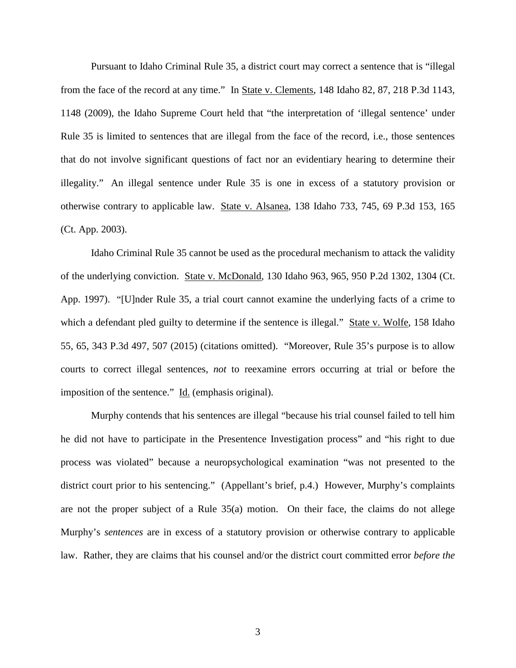Pursuant to Idaho Criminal Rule 35, a district court may correct a sentence that is "illegal from the face of the record at any time." In State v. Clements, 148 Idaho 82, 87, 218 P.3d 1143, 1148 (2009), the Idaho Supreme Court held that "the interpretation of 'illegal sentence' under Rule 35 is limited to sentences that are illegal from the face of the record, i.e., those sentences that do not involve significant questions of fact nor an evidentiary hearing to determine their illegality." An illegal sentence under Rule 35 is one in excess of a statutory provision or otherwise contrary to applicable law. State v. Alsanea, 138 Idaho 733, 745, 69 P.3d 153, 165 (Ct. App. 2003).

Idaho Criminal Rule 35 cannot be used as the procedural mechanism to attack the validity of the underlying conviction. State v. McDonald, 130 Idaho 963, 965, 950 P.2d 1302, 1304 (Ct. App. 1997). "[U]nder [Rule 35,](http://www.westlaw.com/Link/Document/FullText?findType=L&pubNum=1006902&cite=IDRRCRPR35&originatingDoc=Ia88894a5b6eb11e4b86bd602cb8781fa&refType=LQ&originationContext=document&vr=3.0&rs=cblt1.0&transitionType=DocumentItem&contextData=(sc.UserEnteredCitation)) a trial court cannot examine the underlying facts of a crime to which a defendant pled guilty to determine if the sentence is illegal." State v. Wolfe, 158 Idaho 55, 65, 343 P.3d 497, 507 (2015) (citations omitted). "Moreover, [Rule 35'](http://www.westlaw.com/Link/Document/FullText?findType=L&pubNum=1006902&cite=IDRRCRPR35&originatingDoc=Ia88894a5b6eb11e4b86bd602cb8781fa&refType=LQ&originationContext=document&vr=3.0&rs=cblt1.0&transitionType=DocumentItem&contextData=(sc.UserEnteredCitation))s purpose is to allow courts to correct illegal sentences, *not* to reexamine errors occurring at trial or before the imposition of the sentence." Id. (emphasis original).

Murphy contends that his sentences are illegal "because his trial counsel failed to tell him he did not have to participate in the Presentence Investigation process" and "his right to due process was violated" because a neuropsychological examination "was not presented to the district court prior to his sentencing." (Appellant's brief, p.4.) However, Murphy's complaints are not the proper subject of a Rule 35(a) motion. On their face, the claims do not allege Murphy's *sentences* are in excess of a statutory provision or otherwise contrary to applicable law. Rather, they are claims that his counsel and/or the district court committed error *before the*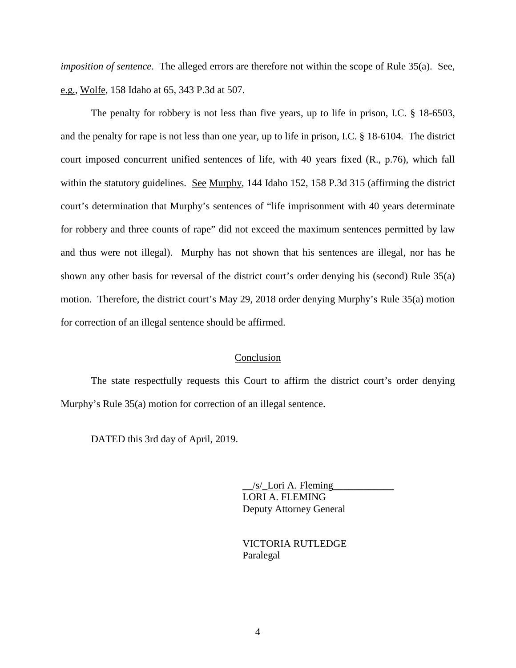*imposition of sentence*. The alleged errors are therefore not within the scope of Rule 35(a). See, e.g., Wolfe, 158 Idaho at 65, 343 P.3d at 507.

The penalty for robbery is not less than five years, up to life in prison, I.C. § 18-6503, and the penalty for rape is not less than one year, up to life in prison, I.C. § 18-6104. The district court imposed concurrent unified sentences of life, with 40 years fixed (R., p.76), which fall within the statutory guidelines. See Murphy, 144 Idaho 152, 158 P.3d 315 (affirming the district court's determination that Murphy's sentences of "life imprisonment with 40 years determinate for robbery and three counts of rape" did not exceed the maximum sentences permitted by law and thus were not illegal). Murphy has not shown that his sentences are illegal, nor has he shown any other basis for reversal of the district court's order denying his (second) Rule 35(a) motion. Therefore, the district court's May 29, 2018 order denying Murphy's Rule 35(a) motion for correction of an illegal sentence should be affirmed.

#### Conclusion

The state respectfully requests this Court to affirm the district court's order denying Murphy's Rule 35(a) motion for correction of an illegal sentence.

DATED this 3rd day of April, 2019.

 $/s$  Lori A. Fleming LORI A. FLEMING Deputy Attorney General

 VICTORIA RUTLEDGE Paralegal